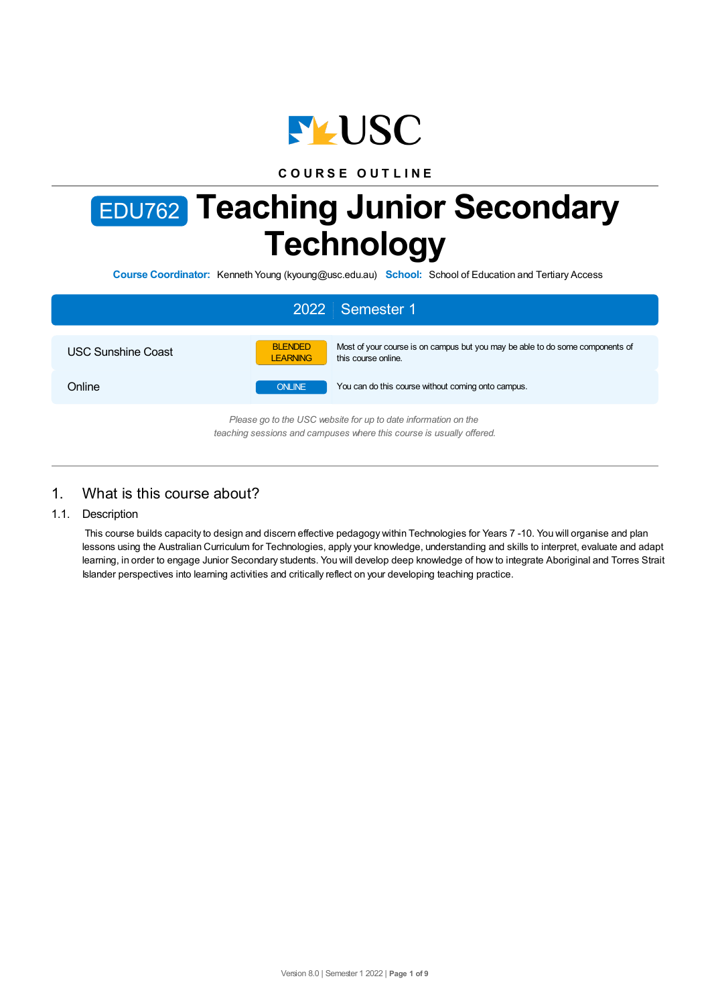

**C O U R S E O U T L I N E**

# EDU762 **Teaching Junior Secondary Technology**

**Course Coordinator:** Kenneth Young (kyoung@usc.edu.au) **School:** School of Education and Tertiary Access

|                           | 2022 Semester 1                                                                                                                           |
|---------------------------|-------------------------------------------------------------------------------------------------------------------------------------------|
| <b>USC Sunshine Coast</b> | Most of your course is on campus but you may be able to do some components of<br><b>BLENDED</b><br><b>LEARNING</b><br>this course online. |
| Online                    | You can do this course without coming onto campus.<br><b>ONLINE</b>                                                                       |
|                           | Please go to the USC website for up to date information on the<br>teaching sessions and campuses where this course is usually offered.    |

# 1. What is this course about?

1.1. Description

This course builds capacity to design and discern effective pedagogy within Technologies for Years 7 -10. You will organise and plan lessons using the Australian Curriculum for Technologies, apply your knowledge, understanding and skills to interpret, evaluate and adapt learning, in order to engage Junior Secondary students. You will develop deep knowledge of how to integrate Aboriginal and Torres Strait Islander perspectives into learning activities and critically reflect on your developing teaching practice.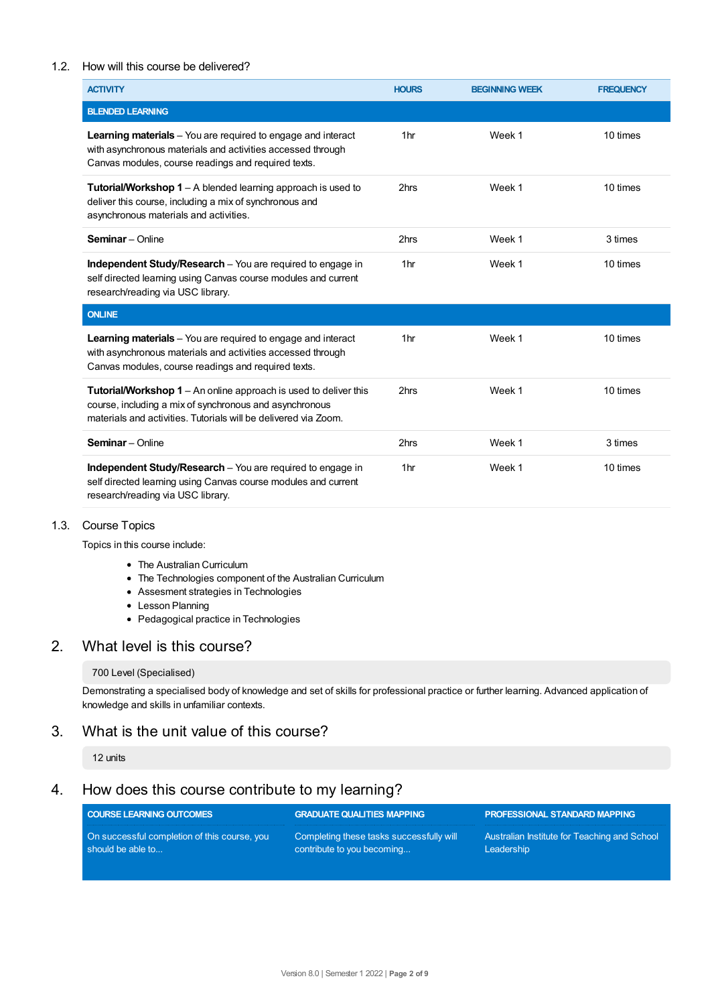#### 1.2. How will this course be delivered?

| <b>ACTIVITY</b>                                                                                                                                                                                       | <b>HOURS</b>    | <b>BEGINNING WEEK</b> | <b>FREQUENCY</b> |
|-------------------------------------------------------------------------------------------------------------------------------------------------------------------------------------------------------|-----------------|-----------------------|------------------|
| <b>BLENDED LEARNING</b>                                                                                                                                                                               |                 |                       |                  |
| <b>Learning materials</b> – You are required to engage and interact<br>with asynchronous materials and activities accessed through<br>Canvas modules, course readings and required texts.             | 1 <sub>hr</sub> | Week 1                | 10 times         |
| <b>Tutorial/Workshop 1</b> – A blended learning approach is used to<br>deliver this course, including a mix of synchronous and<br>asynchronous materials and activities.                              | 2hrs            | Week 1                | 10 times         |
| <b>Seminar</b> - Online                                                                                                                                                                               | 2hrs            | Week 1                | 3 times          |
| <b>Independent Study/Research</b> – You are required to engage in<br>self directed learning using Canvas course modules and current<br>research/reading via USC library.                              | 1 <sub>hr</sub> | Week 1                | 10 times         |
| <b>ONLINE</b>                                                                                                                                                                                         |                 |                       |                  |
| <b>Learning materials</b> - You are required to engage and interact<br>with asynchronous materials and activities accessed through<br>Canvas modules, course readings and required texts.             | 1 <sub>hr</sub> | Week 1                | 10 times         |
| <b>Tutorial/Workshop 1</b> – An online approach is used to deliver this<br>course, including a mix of synchronous and asynchronous<br>materials and activities. Tutorials will be delivered via Zoom. | 2hrs            | Week 1                | 10 times         |
| <b>Seminar</b> - Online                                                                                                                                                                               | 2hrs            | Week 1                | 3 times          |
| <b>Independent Study/Research</b> – You are required to engage in<br>self directed learning using Canvas course modules and current<br>research/reading via USC library.                              | 1 <sub>hr</sub> | Week 1                | 10 times         |

#### 1.3. Course Topics

Topics in this course include:

- The Australian Curriculum
- The Technologies component of the Australian Curriculum
- Assesment strategies in Technologies
- Lesson Planning
- Pedagogical practice in Technologies

# 2. What level is this course?

#### 700 Level (Specialised)

Demonstrating a specialised body of knowledge and set of skills for professional practice or further learning. Advanced application of knowledge and skills in unfamiliar contexts.

# 3. What is the unit value of this course?

#### 12 units

# 4. How does this course contribute to my learning?

| <b>COURSE LEARNING OUTCOMES</b>              | <b>GRADUATE QUALITIES MAPPING</b>        | PROFESSIONAL STANDARD MAPPING                |
|----------------------------------------------|------------------------------------------|----------------------------------------------|
| On successful completion of this course, you | Completing these tasks successfully will | Australian Institute for Teaching and School |
| should be able to                            | contribute to you becoming               | Leadership                                   |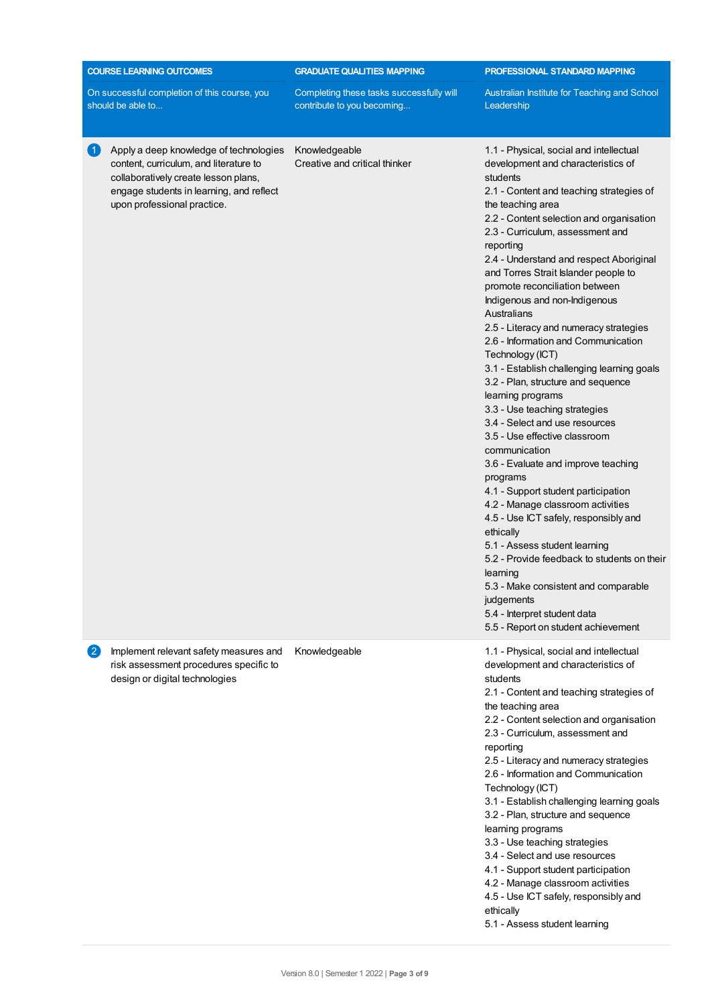| <b>COURSE LEARNING OUTCOMES</b>                                                                                                                                                                     | <b>GRADUATE QUALITIES MAPPING</b>                                      | PROFESSIONAL STANDARD MAPPING                                                                                                                                                                                                                                                                                                                                                                                                                                                                                                                                                                                                                                                                                                                                                                                                                                                                                                                                                                                                                                                                                                                                                 |  |
|-----------------------------------------------------------------------------------------------------------------------------------------------------------------------------------------------------|------------------------------------------------------------------------|-------------------------------------------------------------------------------------------------------------------------------------------------------------------------------------------------------------------------------------------------------------------------------------------------------------------------------------------------------------------------------------------------------------------------------------------------------------------------------------------------------------------------------------------------------------------------------------------------------------------------------------------------------------------------------------------------------------------------------------------------------------------------------------------------------------------------------------------------------------------------------------------------------------------------------------------------------------------------------------------------------------------------------------------------------------------------------------------------------------------------------------------------------------------------------|--|
| On successful completion of this course, you<br>should be able to                                                                                                                                   | Completing these tasks successfully will<br>contribute to you becoming | Australian Institute for Teaching and School<br>Leadership                                                                                                                                                                                                                                                                                                                                                                                                                                                                                                                                                                                                                                                                                                                                                                                                                                                                                                                                                                                                                                                                                                                    |  |
| Apply a deep knowledge of technologies<br>content, curriculum, and literature to<br>collaboratively create lesson plans,<br>engage students in learning, and reflect<br>upon professional practice. | Knowledgeable<br>Creative and critical thinker                         | 1.1 - Physical, social and intellectual<br>development and characteristics of<br>students<br>2.1 - Content and teaching strategies of<br>the teaching area<br>2.2 - Content selection and organisation<br>2.3 - Curriculum, assessment and<br>reporting<br>2.4 - Understand and respect Aboriginal<br>and Torres Strait Islander people to<br>promote reconciliation between<br>Indigenous and non-Indigenous<br>Australians<br>2.5 - Literacy and numeracy strategies<br>2.6 - Information and Communication<br>Technology (ICT)<br>3.1 - Establish challenging learning goals<br>3.2 - Plan, structure and sequence<br>learning programs<br>3.3 - Use teaching strategies<br>3.4 - Select and use resources<br>3.5 - Use effective classroom<br>communication<br>3.6 - Evaluate and improve teaching<br>programs<br>4.1 - Support student participation<br>4.2 - Manage classroom activities<br>4.5 - Use ICT safely, responsibly and<br>ethically<br>5.1 - Assess student learning<br>5.2 - Provide feedback to students on their<br>learning<br>5.3 - Make consistent and comparable<br>judgements<br>5.4 - Interpret student data<br>5.5 - Report on student achievement |  |
| Implement relevant safety measures and<br>$\mathbf{2}$<br>risk assessment procedures specific to<br>design or digital technologies                                                                  | Knowledgeable                                                          | 1.1 - Physical, social and intellectual<br>development and characteristics of<br>students<br>2.1 - Content and teaching strategies of<br>the teaching area<br>2.2 - Content selection and organisation<br>2.3 - Curriculum, assessment and<br>reporting<br>2.5 - Literacy and numeracy strategies<br>2.6 - Information and Communication<br>Technology (ICT)<br>3.1 - Establish challenging learning goals<br>3.2 - Plan, structure and sequence<br>learning programs<br>3.3 - Use teaching strategies<br>3.4 - Select and use resources<br>4.1 - Support student participation<br>4.2 - Manage classroom activities<br>4.5 - Use ICT safely, responsibly and<br>ethically<br>5.1 - Assess student learning                                                                                                                                                                                                                                                                                                                                                                                                                                                                   |  |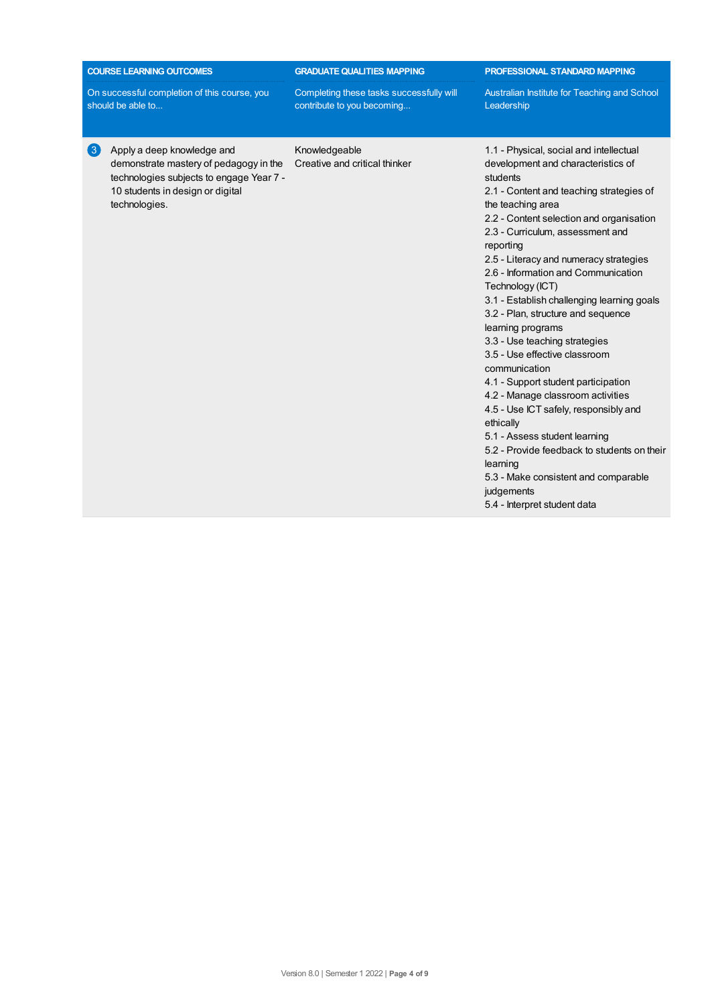| <b>COURSE LEARNING OUTCOMES</b>                                   |                                                                                                                                                                       | <b>GRADUATE QUALITIES MAPPING</b>                                      | PROFESSIONAL STANDARD MAPPING                                                                                                                                                                                                                                                                                                                                                                                                                                                                                                                                                                                                                                                                                                                                                                                                                                                |  |
|-------------------------------------------------------------------|-----------------------------------------------------------------------------------------------------------------------------------------------------------------------|------------------------------------------------------------------------|------------------------------------------------------------------------------------------------------------------------------------------------------------------------------------------------------------------------------------------------------------------------------------------------------------------------------------------------------------------------------------------------------------------------------------------------------------------------------------------------------------------------------------------------------------------------------------------------------------------------------------------------------------------------------------------------------------------------------------------------------------------------------------------------------------------------------------------------------------------------------|--|
| On successful completion of this course, you<br>should be able to |                                                                                                                                                                       | Completing these tasks successfully will<br>contribute to you becoming | Australian Institute for Teaching and School<br>Leadership                                                                                                                                                                                                                                                                                                                                                                                                                                                                                                                                                                                                                                                                                                                                                                                                                   |  |
| $\left( 3 \right)$                                                | Apply a deep knowledge and<br>demonstrate mastery of pedagogy in the<br>technologies subjects to engage Year 7 -<br>10 students in design or digital<br>technologies. | Knowledgeable<br>Creative and critical thinker                         | 1.1 - Physical, social and intellectual<br>development and characteristics of<br>students<br>2.1 - Content and teaching strategies of<br>the teaching area<br>2.2 - Content selection and organisation<br>2.3 - Curriculum, assessment and<br>reporting<br>2.5 - Literacy and numeracy strategies<br>2.6 - Information and Communication<br>Technology (ICT)<br>3.1 - Establish challenging learning goals<br>3.2 - Plan, structure and sequence<br>learning programs<br>3.3 - Use teaching strategies<br>3.5 - Use effective classroom<br>communication<br>4.1 - Support student participation<br>4.2 - Manage classroom activities<br>4.5 - Use ICT safely, responsibly and<br>ethically<br>5.1 - Assess student learning<br>5.2 - Provide feedback to students on their<br>learning<br>5.3 - Make consistent and comparable<br>judgements<br>5.4 - Interpret student data |  |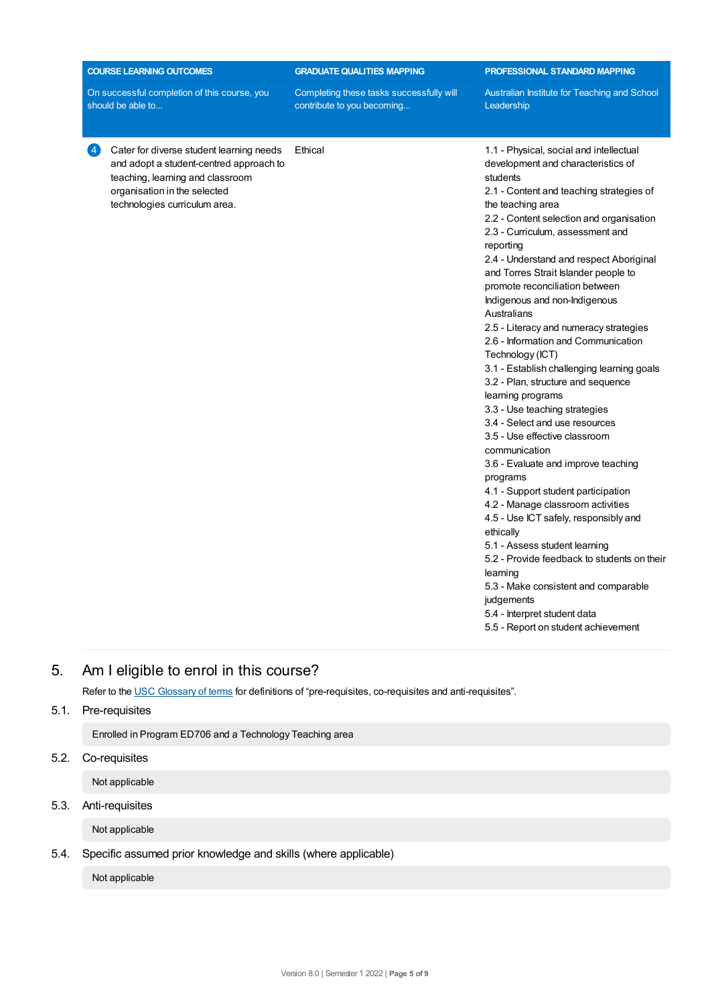| <b>COURSE LEARNING OUTCOMES</b>                                                                                                                                                                            | <b>GRADUATE QUALITIES MAPPING</b>                                      | PROFESSIONAL STANDARD MAPPING                                                                                                                                                                                                                                                                                                                                                                                                                                                                                                                                                                                                                                                                                                                                                                                                                                                                                                                                                                                                                                                                                                                                                 |  |  |
|------------------------------------------------------------------------------------------------------------------------------------------------------------------------------------------------------------|------------------------------------------------------------------------|-------------------------------------------------------------------------------------------------------------------------------------------------------------------------------------------------------------------------------------------------------------------------------------------------------------------------------------------------------------------------------------------------------------------------------------------------------------------------------------------------------------------------------------------------------------------------------------------------------------------------------------------------------------------------------------------------------------------------------------------------------------------------------------------------------------------------------------------------------------------------------------------------------------------------------------------------------------------------------------------------------------------------------------------------------------------------------------------------------------------------------------------------------------------------------|--|--|
| On successful completion of this course, you<br>should be able to                                                                                                                                          | Completing these tasks successfully will<br>contribute to you becoming | Australian Institute for Teaching and School<br>Leadership                                                                                                                                                                                                                                                                                                                                                                                                                                                                                                                                                                                                                                                                                                                                                                                                                                                                                                                                                                                                                                                                                                                    |  |  |
| Cater for diverse student learning needs<br>$\overline{4}$<br>and adopt a student-centred approach to<br>teaching, learning and classroom<br>organisation in the selected<br>technologies curriculum area. | Ethical                                                                | 1.1 - Physical, social and intellectual<br>development and characteristics of<br>students<br>2.1 - Content and teaching strategies of<br>the teaching area<br>2.2 - Content selection and organisation<br>2.3 - Curriculum, assessment and<br>reporting<br>2.4 - Understand and respect Aboriginal<br>and Torres Strait Islander people to<br>promote reconciliation between<br>Indigenous and non-Indigenous<br>Australians<br>2.5 - Literacy and numeracy strategies<br>2.6 - Information and Communication<br>Technology (ICT)<br>3.1 - Establish challenging learning goals<br>3.2 - Plan, structure and sequence<br>learning programs<br>3.3 - Use teaching strategies<br>3.4 - Select and use resources<br>3.5 - Use effective classroom<br>communication<br>3.6 - Evaluate and improve teaching<br>programs<br>4.1 - Support student participation<br>4.2 - Manage classroom activities<br>4.5 - Use ICT safely, responsibly and<br>ethically<br>5.1 - Assess student learning<br>5.2 - Provide feedback to students on their<br>learning<br>5.3 - Make consistent and comparable<br>judgements<br>5.4 - Interpret student data<br>5.5 - Report on student achievement |  |  |

# 5. Am Ieligible to enrol in this course?

Refer to the USC [Glossary](https://www.usc.edu.au/about/policies-and-procedures/glossary-of-terms-for-policy-and-procedures) of terms for definitions of "pre-requisites, co-requisites and anti-requisites".

## 5.1. Pre-requisites

Enrolled in Program ED706 and a Technology Teaching area

# 5.2. Co-requisites

Not applicable

# 5.3. Anti-requisites

Not applicable

# 5.4. Specific assumed prior knowledge and skills (where applicable)

Not applicable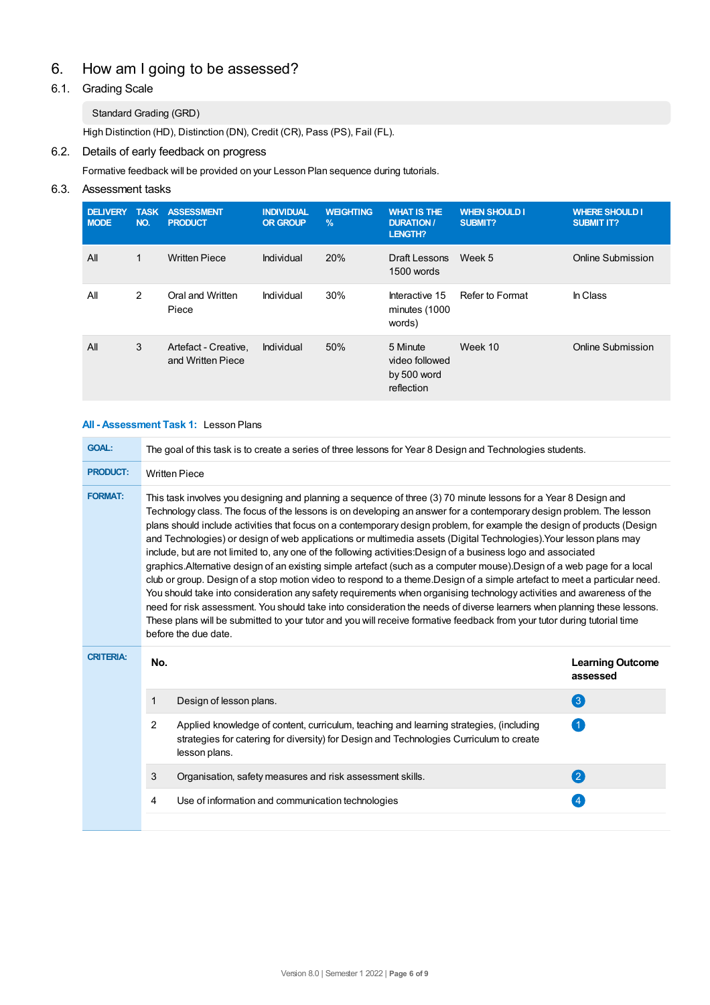# 6. How am Igoing to be assessed?

# 6.1. Grading Scale

### Standard Grading (GRD)

High Distinction (HD), Distinction (DN), Credit (CR), Pass (PS), Fail (FL).

# 6.2. Details of early feedback on progress

Formative feedback will be provided on your Lesson Plan sequence during tutorials.

## 6.3. Assessment tasks

| <b>DELIVERY</b><br><b>MODE</b> | <b>TASK</b><br>NO. | <b>ASSESSMENT</b><br><b>PRODUCT</b>       | <b>INDIVIDUAL</b><br><b>OR GROUP</b> | <b>WEIGHTING</b><br>$\%$ | <b>WHAT IS THE</b><br><b>DURATION /</b><br>LENGTH?      | <b>WHEN SHOULD I</b><br>SUBMIT? | <b>WHERE SHOULD I</b><br><b>SUBMIT IT?</b> |
|--------------------------------|--------------------|-------------------------------------------|--------------------------------------|--------------------------|---------------------------------------------------------|---------------------------------|--------------------------------------------|
| All                            | 1                  | <b>Written Piece</b>                      | Individual                           | 20%                      | Draft Lessons<br>1500 words                             | Week 5                          | Online Submission                          |
| All                            | 2                  | Oral and Written<br>Piece                 | Individual                           | 30%                      | Interactive 15<br>minutes (1000<br>words)               | Refer to Format                 | In Class                                   |
| All                            | 3                  | Artefact - Creative,<br>and Written Piece | Individual                           | 50%                      | 5 Minute<br>video followed<br>by 500 word<br>reflection | Week 10                         | Online Submission                          |

#### **All - Assessment Task 1:** Lesson Plans

| <b>GOAL:</b>     | The goal of this task is to create a series of three lessons for Year 8 Design and Technologies students.                                                                                                                                                                                                                                                                                                                                                                                                                                                                                                                                                                                                                                                                                                                                                                                                                                                                                                                                                                                                                                                                                                                                                                 |                                                                                                                                                                                                    |                                     |  |  |
|------------------|---------------------------------------------------------------------------------------------------------------------------------------------------------------------------------------------------------------------------------------------------------------------------------------------------------------------------------------------------------------------------------------------------------------------------------------------------------------------------------------------------------------------------------------------------------------------------------------------------------------------------------------------------------------------------------------------------------------------------------------------------------------------------------------------------------------------------------------------------------------------------------------------------------------------------------------------------------------------------------------------------------------------------------------------------------------------------------------------------------------------------------------------------------------------------------------------------------------------------------------------------------------------------|----------------------------------------------------------------------------------------------------------------------------------------------------------------------------------------------------|-------------------------------------|--|--|
| <b>PRODUCT:</b>  | <b>Written Piece</b>                                                                                                                                                                                                                                                                                                                                                                                                                                                                                                                                                                                                                                                                                                                                                                                                                                                                                                                                                                                                                                                                                                                                                                                                                                                      |                                                                                                                                                                                                    |                                     |  |  |
| <b>FORMAT:</b>   | This task involves you designing and planning a sequence of three (3) 70 minute lessons for a Year 8 Design and<br>Technology class. The focus of the lessons is on developing an answer for a contemporary design problem. The lesson<br>plans should include activities that focus on a contemporary design problem, for example the design of products (Design<br>and Technologies) or design of web applications or multimedia assets (Digital Technologies). Your lesson plans may<br>include, but are not limited to, any one of the following activities: Design of a business logo and associated<br>graphics.Alternative design of an existing simple artefact (such as a computer mouse).Design of a web page for a local<br>club or group. Design of a stop motion video to respond to a theme. Design of a simple artefact to meet a particular need.<br>You should take into consideration any safety requirements when organising technology activities and awareness of the<br>need for risk assessment. You should take into consideration the needs of diverse learners when planning these lessons.<br>These plans will be submitted to your tutor and you will receive formative feedback from your tutor during tutorial time<br>before the due date. |                                                                                                                                                                                                    |                                     |  |  |
|                  |                                                                                                                                                                                                                                                                                                                                                                                                                                                                                                                                                                                                                                                                                                                                                                                                                                                                                                                                                                                                                                                                                                                                                                                                                                                                           |                                                                                                                                                                                                    |                                     |  |  |
| <b>CRITERIA:</b> | No.                                                                                                                                                                                                                                                                                                                                                                                                                                                                                                                                                                                                                                                                                                                                                                                                                                                                                                                                                                                                                                                                                                                                                                                                                                                                       |                                                                                                                                                                                                    | <b>Learning Outcome</b><br>assessed |  |  |
|                  | $\mathbf{1}$                                                                                                                                                                                                                                                                                                                                                                                                                                                                                                                                                                                                                                                                                                                                                                                                                                                                                                                                                                                                                                                                                                                                                                                                                                                              | Design of lesson plans.                                                                                                                                                                            | 3                                   |  |  |
|                  | $\mathcal{P}$                                                                                                                                                                                                                                                                                                                                                                                                                                                                                                                                                                                                                                                                                                                                                                                                                                                                                                                                                                                                                                                                                                                                                                                                                                                             | Applied knowledge of content, curriculum, teaching and learning strategies, (including<br>strategies for catering for diversity) for Design and Technologies Curriculum to create<br>lesson plans. | $\left( 1\right)$                   |  |  |
|                  | 3                                                                                                                                                                                                                                                                                                                                                                                                                                                                                                                                                                                                                                                                                                                                                                                                                                                                                                                                                                                                                                                                                                                                                                                                                                                                         | Organisation, safety measures and risk assessment skills.                                                                                                                                          | 2                                   |  |  |
|                  | 4                                                                                                                                                                                                                                                                                                                                                                                                                                                                                                                                                                                                                                                                                                                                                                                                                                                                                                                                                                                                                                                                                                                                                                                                                                                                         | Use of information and communication technologies                                                                                                                                                  | $\overline{4}$                      |  |  |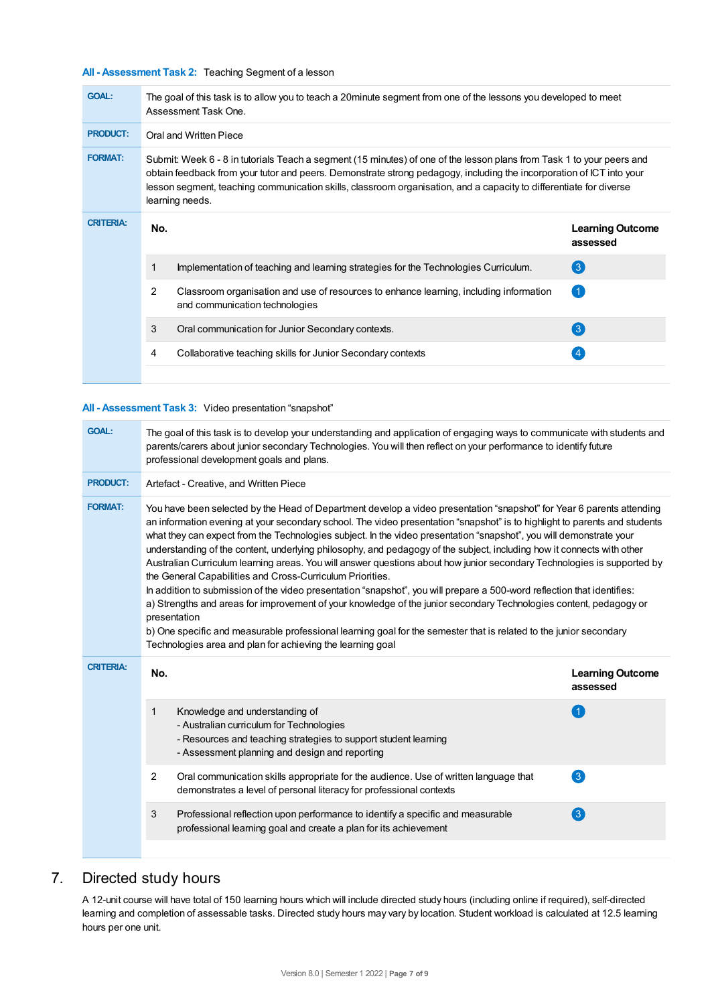#### **All - Assessment Task 2:** Teaching Segment of a lesson

| <b>GOAL:</b>     |                                                                                                                                                                                                                                                                                                                                                                                        | The goal of this task is to allow you to teach a 20minute segment from one of the lessons you developed to meet<br>Assessment Task One. |                                     |  |  |  |
|------------------|----------------------------------------------------------------------------------------------------------------------------------------------------------------------------------------------------------------------------------------------------------------------------------------------------------------------------------------------------------------------------------------|-----------------------------------------------------------------------------------------------------------------------------------------|-------------------------------------|--|--|--|
| <b>PRODUCT:</b>  | Oral and Written Piece                                                                                                                                                                                                                                                                                                                                                                 |                                                                                                                                         |                                     |  |  |  |
| <b>FORMAT:</b>   | Submit: Week 6 - 8 in tutorials Teach a segment (15 minutes) of one of the lesson plans from Task 1 to your peers and<br>obtain feedback from your tutor and peers. Demonstrate strong pedagogy, including the incorporation of ICT into your<br>lesson segment, teaching communication skills, classroom organisation, and a capacity to differentiate for diverse<br>learning needs. |                                                                                                                                         |                                     |  |  |  |
| <b>CRITERIA:</b> | No.                                                                                                                                                                                                                                                                                                                                                                                    |                                                                                                                                         | <b>Learning Outcome</b><br>assessed |  |  |  |
|                  | 1                                                                                                                                                                                                                                                                                                                                                                                      | Implementation of teaching and learning strategies for the Technologies Curriculum.                                                     | $\left( 3\right)$                   |  |  |  |
|                  | 2                                                                                                                                                                                                                                                                                                                                                                                      | Classroom organisation and use of resources to enhance learning, including information<br>and communication technologies                | (1)                                 |  |  |  |
|                  | 3                                                                                                                                                                                                                                                                                                                                                                                      | Oral communication for Junior Secondary contexts.                                                                                       | $\left( 3\right)$                   |  |  |  |
|                  | 4                                                                                                                                                                                                                                                                                                                                                                                      | Collaborative teaching skills for Junior Secondary contexts                                                                             | 4                                   |  |  |  |
|                  |                                                                                                                                                                                                                                                                                                                                                                                        |                                                                                                                                         |                                     |  |  |  |

#### **All - Assessment Task 3:** Video presentation "snapshot"

| <b>GOAL:</b>     | The goal of this task is to develop your understanding and application of engaging ways to communicate with students and<br>parents/carers about junior secondary Technologies. You will then reflect on your performance to identify future<br>professional development goals and plans.                                                                                                                                                                                                                                                                                                                                                                                                                                                                                                                                                                                                                                                                                                                                                                                                                                                         |                                                                                                                                                                                                 |                                     |  |  |
|------------------|---------------------------------------------------------------------------------------------------------------------------------------------------------------------------------------------------------------------------------------------------------------------------------------------------------------------------------------------------------------------------------------------------------------------------------------------------------------------------------------------------------------------------------------------------------------------------------------------------------------------------------------------------------------------------------------------------------------------------------------------------------------------------------------------------------------------------------------------------------------------------------------------------------------------------------------------------------------------------------------------------------------------------------------------------------------------------------------------------------------------------------------------------|-------------------------------------------------------------------------------------------------------------------------------------------------------------------------------------------------|-------------------------------------|--|--|
| <b>PRODUCT:</b>  | Artefact - Creative, and Written Piece                                                                                                                                                                                                                                                                                                                                                                                                                                                                                                                                                                                                                                                                                                                                                                                                                                                                                                                                                                                                                                                                                                            |                                                                                                                                                                                                 |                                     |  |  |
| <b>FORMAT:</b>   | You have been selected by the Head of Department develop a video presentation "snapshot" for Year 6 parents attending<br>an information evening at your secondary school. The video presentation "snapshot" is to highlight to parents and students<br>what they can expect from the Technologies subject. In the video presentation "snapshot", you will demonstrate your<br>understanding of the content, underlying philosophy, and pedagogy of the subject, including how it connects with other<br>Australian Curriculum learning areas. You will answer questions about how junior secondary Technologies is supported by<br>the General Capabilities and Cross-Curriculum Priorities.<br>In addition to submission of the video presentation "snapshot", you will prepare a 500-word reflection that identifies:<br>a) Strengths and areas for improvement of your knowledge of the junior secondary Technologies content, pedagogy or<br>presentation<br>b) One specific and measurable professional learning goal for the semester that is related to the junior secondary<br>Technologies area and plan for achieving the learning goal |                                                                                                                                                                                                 |                                     |  |  |
| <b>CRITERIA:</b> | No.                                                                                                                                                                                                                                                                                                                                                                                                                                                                                                                                                                                                                                                                                                                                                                                                                                                                                                                                                                                                                                                                                                                                               |                                                                                                                                                                                                 | <b>Learning Outcome</b><br>assessed |  |  |
|                  | $\mathbf 1$                                                                                                                                                                                                                                                                                                                                                                                                                                                                                                                                                                                                                                                                                                                                                                                                                                                                                                                                                                                                                                                                                                                                       | Knowledge and understanding of<br>- Australian curriculum for Technologies<br>- Resources and teaching strategies to support student learning<br>- Assessment planning and design and reporting | (1)                                 |  |  |
|                  | $\overline{2}$                                                                                                                                                                                                                                                                                                                                                                                                                                                                                                                                                                                                                                                                                                                                                                                                                                                                                                                                                                                                                                                                                                                                    | Oral communication skills appropriate for the audience. Use of written language that<br>demonstrates a level of personal literacy for professional contexts                                     | $\left( 3\right)$                   |  |  |
|                  | 3                                                                                                                                                                                                                                                                                                                                                                                                                                                                                                                                                                                                                                                                                                                                                                                                                                                                                                                                                                                                                                                                                                                                                 | Professional reflection upon performance to identify a specific and measurable<br>professional learning goal and create a plan for its achievement                                              | $\bullet$                           |  |  |
|                  |                                                                                                                                                                                                                                                                                                                                                                                                                                                                                                                                                                                                                                                                                                                                                                                                                                                                                                                                                                                                                                                                                                                                                   |                                                                                                                                                                                                 |                                     |  |  |

# 7. Directed study hours

A 12-unit course will have total of 150 learning hours which will include directed study hours (including online if required), self-directed learning and completion of assessable tasks. Directed study hours may vary by location. Student workload is calculated at 12.5 learning hours per one unit.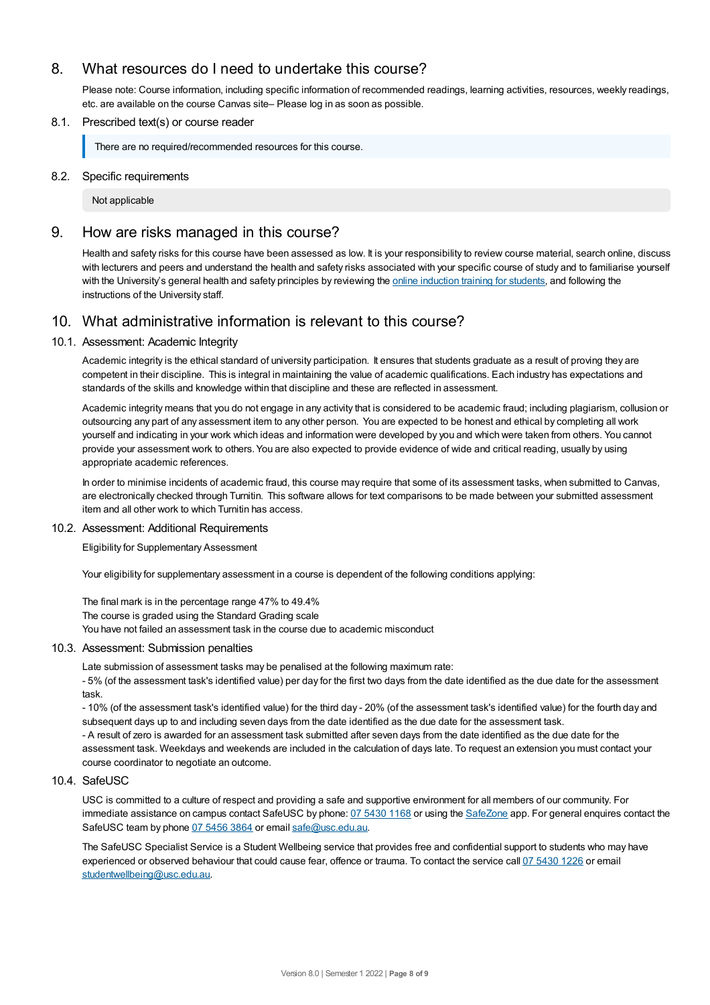# 8. What resources do I need to undertake this course?

Please note: Course information, including specific information of recommended readings, learning activities, resources, weekly readings, etc. are available on the course Canvas site– Please log in as soon as possible.

#### 8.1. Prescribed text(s) or course reader

There are no required/recommended resources for this course.

#### 8.2. Specific requirements

Not applicable

## 9. How are risks managed in this course?

Health and safety risks for this course have been assessed as low. It is your responsibility to review course material, search online, discuss with lecturers and peers and understand the health and safety risks associated with your specific course of study and to familiarise yourself with the University's general health and safety principles by reviewing the online [induction](https://online.usc.edu.au/webapps/blackboard/content/listContentEditable.jsp?content_id=_632657_1&course_id=_14432_1) training for students, and following the instructions of the University staff.

# 10. What administrative information is relevant to this course?

#### 10.1. Assessment: Academic Integrity

Academic integrity is the ethical standard of university participation. It ensures that students graduate as a result of proving they are competent in their discipline. This is integral in maintaining the value of academic qualifications. Each industry has expectations and standards of the skills and knowledge within that discipline and these are reflected in assessment.

Academic integrity means that you do not engage in any activity that is considered to be academic fraud; including plagiarism, collusion or outsourcing any part of any assessment item to any other person. You are expected to be honest and ethical by completing all work yourself and indicating in your work which ideas and information were developed by you and which were taken from others. You cannot provide your assessment work to others. You are also expected to provide evidence of wide and critical reading, usually by using appropriate academic references.

In order to minimise incidents of academic fraud, this course may require that some of its assessment tasks, when submitted to Canvas, are electronically checked through Turnitin. This software allows for text comparisons to be made between your submitted assessment item and all other work to which Turnitin has access.

#### 10.2. Assessment: Additional Requirements

Eligibility for Supplementary Assessment

Your eligibility for supplementary assessment in a course is dependent of the following conditions applying:

The final mark is in the percentage range 47% to 49.4% The course is graded using the Standard Grading scale You have not failed an assessment task in the course due to academic misconduct

#### 10.3. Assessment: Submission penalties

Late submission of assessment tasks may be penalised at the following maximum rate:

- 5% (of the assessment task's identified value) per day for the first two days from the date identified as the due date for the assessment task.

- 10% (of the assessment task's identified value) for the third day - 20% (of the assessment task's identified value) for the fourth day and subsequent days up to and including seven days from the date identified as the due date for the assessment task. - A result of zero is awarded for an assessment task submitted after seven days from the date identified as the due date for the assessment task. Weekdays and weekends are included in the calculation of days late. To request an extension you must contact your course coordinator to negotiate an outcome.

#### 10.4. SafeUSC

USC is committed to a culture of respect and providing a safe and supportive environment for all members of our community. For immediate assistance on campus contact SafeUSC by phone: 07 [5430](tel:07%205430%201168) 1168 or using the [SafeZone](https://www.safezoneapp.com) app. For general enquires contact the SafeUSC team by phone 07 [5456](tel:07%205456%203864) 3864 or email [safe@usc.edu.au](mailto:safe@usc.edu.au).

The SafeUSC Specialist Service is a Student Wellbeing service that provides free and confidential support to students who may have experienced or observed behaviour that could cause fear, offence or trauma. To contact the service call 07 [5430](tel:07%205430%201226) 1226 or email [studentwellbeing@usc.edu.au](mailto:studentwellbeing@usc.edu.au).